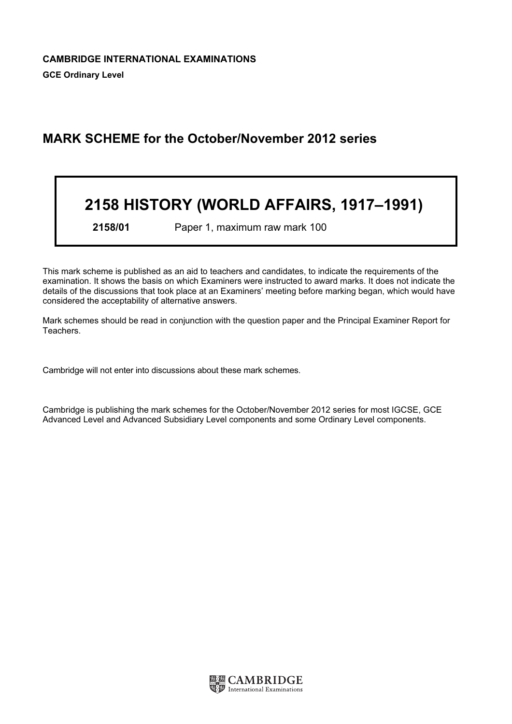# MARK SCHEME for the October/November 2012 series

# 2158 HISTORY (WORLD AFFAIRS, 1917–1991)

2158/01 Paper 1, maximum raw mark 100

This mark scheme is published as an aid to teachers and candidates, to indicate the requirements of the examination. It shows the basis on which Examiners were instructed to award marks. It does not indicate the details of the discussions that took place at an Examiners' meeting before marking began, which would have considered the acceptability of alternative answers.

Mark schemes should be read in conjunction with the question paper and the Principal Examiner Report for Teachers.

Cambridge will not enter into discussions about these mark schemes.

Cambridge is publishing the mark schemes for the October/November 2012 series for most IGCSE, GCE Advanced Level and Advanced Subsidiary Level components and some Ordinary Level components.

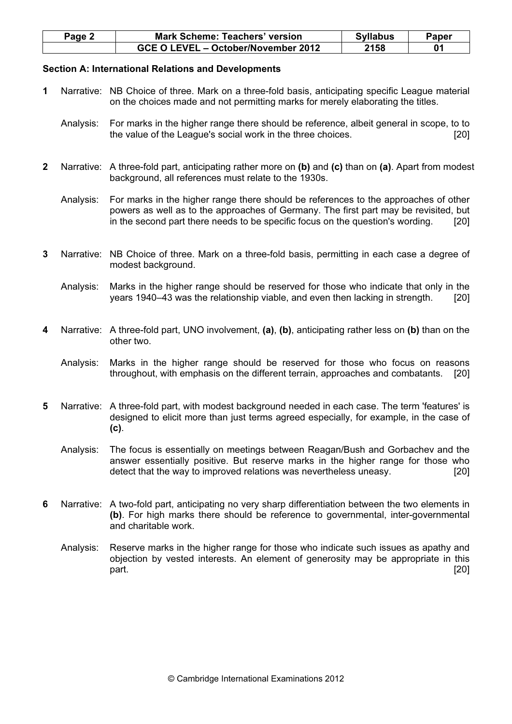| $Page \angle$ | <b>Mark Scheme: Teachers' version</b> | <b>Syllabus</b> | Paper |
|---------------|---------------------------------------|-----------------|-------|
|               | GCE O LEVEL - October/November 2012   | 2158            |       |

# Section A: International Relations and Developments

- 1 Narrative: NB Choice of three. Mark on a three-fold basis, anticipating specific League material on the choices made and not permitting marks for merely elaborating the titles.
	- Analysis: For marks in the higher range there should be reference, albeit general in scope, to to the value of the League's social work in the three choices. [20]
- 2 Narrative: A three-fold part, anticipating rather more on (b) and (c) than on (a). Apart from modest background, all references must relate to the 1930s.
	- Analysis: For marks in the higher range there should be references to the approaches of other powers as well as to the approaches of Germany. The first part may be revisited, but in the second part there needs to be specific focus on the question's wording. [20]
- 3 Narrative: NB Choice of three. Mark on a three-fold basis, permitting in each case a degree of modest background.
	- Analysis: Marks in the higher range should be reserved for those who indicate that only in the years 1940–43 was the relationship viable, and even then lacking in strength. [20]
- 4 Narrative: A three-fold part, UNO involvement, (a), (b), anticipating rather less on (b) than on the other two.
	- Analysis: Marks in the higher range should be reserved for those who focus on reasons throughout, with emphasis on the different terrain, approaches and combatants. [20]
- 5 Narrative: A three-fold part, with modest background needed in each case. The term 'features' is designed to elicit more than just terms agreed especially, for example, in the case of (c).
	- Analysis: The focus is essentially on meetings between Reagan/Bush and Gorbachev and the answer essentially positive. But reserve marks in the higher range for those who detect that the way to improved relations was nevertheless uneasy. [20]
- 6 Narrative: A two-fold part, anticipating no very sharp differentiation between the two elements in (b). For high marks there should be reference to governmental, inter-governmental and charitable work.
	- Analysis: Reserve marks in the higher range for those who indicate such issues as apathy and objection by vested interests. An element of generosity may be appropriate in this part. [20]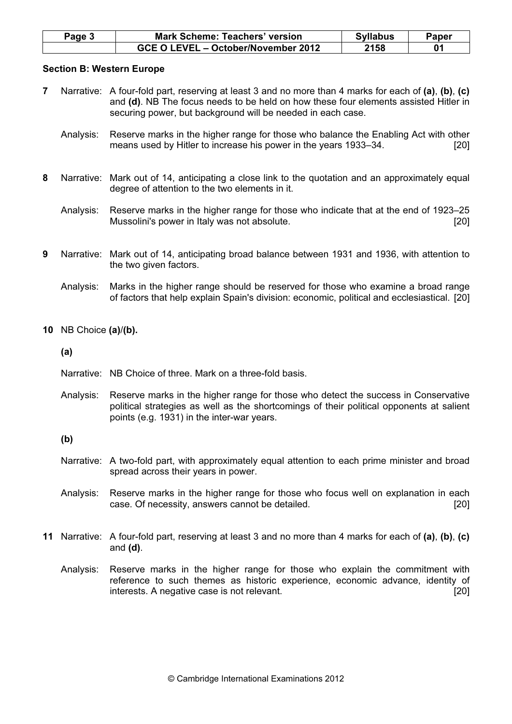| <b>Page 3</b> | <b>Mark Scheme: Teachers' version</b> | <b>Syllabus</b> | Paper |
|---------------|---------------------------------------|-----------------|-------|
|               | GCE O LEVEL - October/November 2012   | 2158            |       |

### Section B: Western Europe

- 7 Narrative: A four-fold part, reserving at least 3 and no more than 4 marks for each of (a), (b), (c) and (d). NB The focus needs to be held on how these four elements assisted Hitler in securing power, but background will be needed in each case.
	- Analysis: Reserve marks in the higher range for those who balance the Enabling Act with other means used by Hitler to increase his power in the years 1933–34.
- 8 Narrative: Mark out of 14, anticipating a close link to the quotation and an approximately equal degree of attention to the two elements in it.
	- Analysis: Reserve marks in the higher range for those who indicate that at the end of 1923–25 Mussolini's power in Italy was not absolute. [20]
- 9 Narrative: Mark out of 14, anticipating broad balance between 1931 and 1936, with attention to the two given factors.
	- Analysis: Marks in the higher range should be reserved for those who examine a broad range of factors that help explain Spain's division: economic, political and ecclesiastical. [20]
- 10 NB Choice (a)/(b).

(a)

- Narrative: NB Choice of three. Mark on a three-fold basis.
- Analysis: Reserve marks in the higher range for those who detect the success in Conservative political strategies as well as the shortcomings of their political opponents at salient points (e.g. 1931) in the inter-war years.

(b)

- Narrative: A two-fold part, with approximately equal attention to each prime minister and broad spread across their years in power.
- Analysis: Reserve marks in the higher range for those who focus well on explanation in each case. Of necessity, answers cannot be detailed. [20]
- 11 Narrative: A four-fold part, reserving at least 3 and no more than 4 marks for each of (a), (b), (c) and  $(d)$ .
	- Analysis: Reserve marks in the higher range for those who explain the commitment with reference to such themes as historic experience, economic advance, identity of interests. A negative case is not relevant. [20]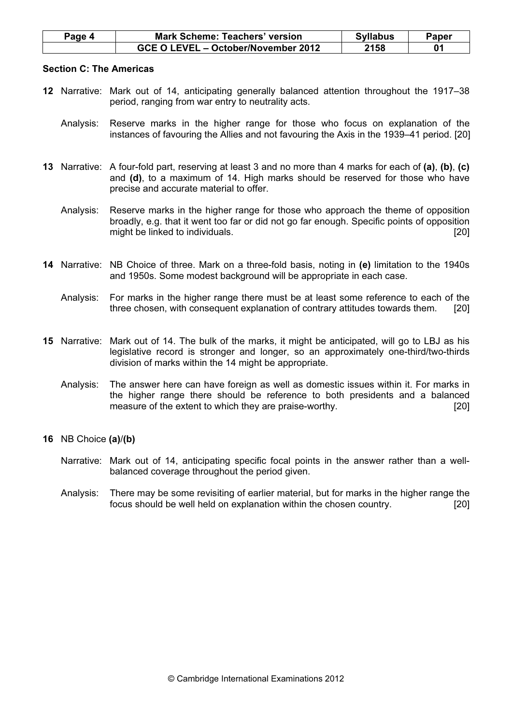| Page 4 | <b>Mark Scheme: Teachers' version</b> | <b>Syllabus</b> | Paper |
|--------|---------------------------------------|-----------------|-------|
|        | GCE O LEVEL - October/November 2012   | 2158            |       |

#### Section C: The Americas

- 12 Narrative: Mark out of 14, anticipating generally balanced attention throughout the 1917–38 period, ranging from war entry to neutrality acts.
	- Analysis: Reserve marks in the higher range for those who focus on explanation of the instances of favouring the Allies and not favouring the Axis in the 1939–41 period. [20]
- 13 Narrative: A four-fold part, reserving at least 3 and no more than 4 marks for each of (a), (b), (c) and (d), to a maximum of 14. High marks should be reserved for those who have precise and accurate material to offer.
	- Analysis: Reserve marks in the higher range for those who approach the theme of opposition broadly, e.g. that it went too far or did not go far enough. Specific points of opposition might be linked to individuals. **Example 2018 might be linked to individuals. [20]**
- 14 Narrative: NB Choice of three. Mark on a three-fold basis, noting in (e) limitation to the 1940s and 1950s. Some modest background will be appropriate in each case.
	- Analysis: For marks in the higher range there must be at least some reference to each of the three chosen, with consequent explanation of contrary attitudes towards them. [20]
- 15 Narrative: Mark out of 14. The bulk of the marks, it might be anticipated, will go to LBJ as his legislative record is stronger and longer, so an approximately one-third/two-thirds division of marks within the 14 might be appropriate.
	- Analysis: The answer here can have foreign as well as domestic issues within it. For marks in the higher range there should be reference to both presidents and a balanced measure of the extent to which they are praise-worthy. [20]

# 16 NB Choice (a)/(b)

- Narrative: Mark out of 14, anticipating specific focal points in the answer rather than a wellbalanced coverage throughout the period given.
- Analysis: There may be some revisiting of earlier material, but for marks in the higher range the focus should be well held on explanation within the chosen country. [20]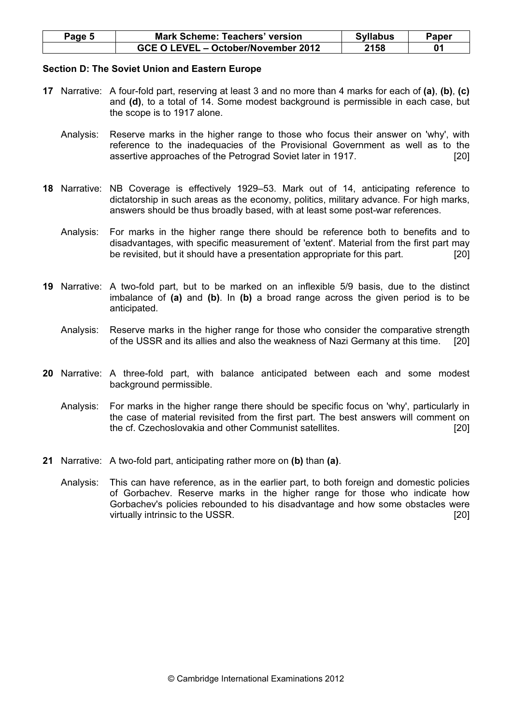| Page 5 | <b>Mark Scheme: Teachers' version</b> | <b>Syllabus</b> | Paper |
|--------|---------------------------------------|-----------------|-------|
|        | GCE O LEVEL - October/November 2012   | 2158            |       |

### Section D: The Soviet Union and Eastern Europe

- 17 Narrative: A four-fold part, reserving at least 3 and no more than 4 marks for each of (a), (b), (c) and (d), to a total of 14. Some modest background is permissible in each case, but the scope is to 1917 alone.
	- Analysis: Reserve marks in the higher range to those who focus their answer on 'why', with reference to the inadequacies of the Provisional Government as well as to the assertive approaches of the Petrograd Soviet later in 1917. [20]
- 18 Narrative: NB Coverage is effectively 1929–53. Mark out of 14, anticipating reference to dictatorship in such areas as the economy, politics, military advance. For high marks, answers should be thus broadly based, with at least some post-war references.
	- Analysis: For marks in the higher range there should be reference both to benefits and to disadvantages, with specific measurement of 'extent'. Material from the first part may be revisited, but it should have a presentation appropriate for this part. [20]
- 19 Narrative: A two-fold part, but to be marked on an inflexible 5/9 basis, due to the distinct imbalance of (a) and (b). In (b) a broad range across the given period is to be anticipated.
	- Analysis: Reserve marks in the higher range for those who consider the comparative strength of the USSR and its allies and also the weakness of Nazi Germany at this time. [20]
- 20 Narrative: A three-fold part, with balance anticipated between each and some modest background permissible.
	- Analysis: For marks in the higher range there should be specific focus on 'why', particularly in the case of material revisited from the first part. The best answers will comment on the cf. Czechoslovakia and other Communist satellites. [20]
- 21 Narrative: A two-fold part, anticipating rather more on (b) than (a).
	- Analysis: This can have reference, as in the earlier part, to both foreign and domestic policies of Gorbachev. Reserve marks in the higher range for those who indicate how Gorbachev's policies rebounded to his disadvantage and how some obstacles were virtually intrinsic to the USSR. [20]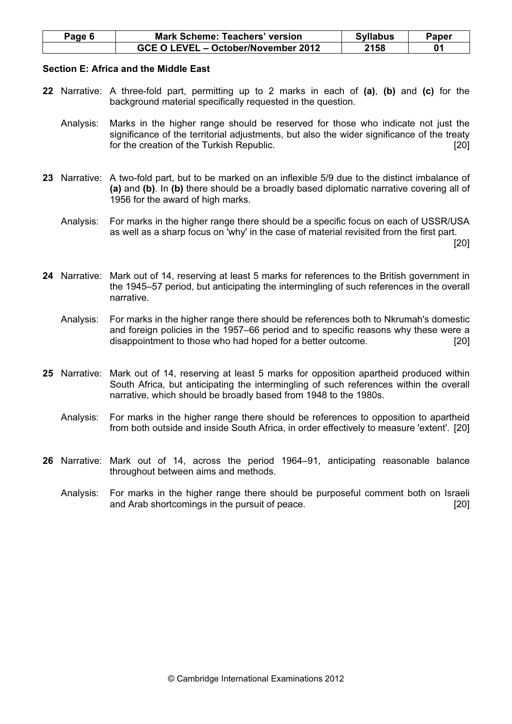| Page 6 | Mark Scheme: Teachers' version      | <b>Syllabus</b> | Paper |
|--------|-------------------------------------|-----------------|-------|
|        | GCE O LEVEL - October/November 2012 | 2158            |       |

#### Section E: Africa and the Middle East

- 22 Narrative: A three-fold part, permitting up to 2 marks in each of (a), (b) and (c) for the background material specifically requested in the question.
	- Analysis: Marks in the higher range should be reserved for those who indicate not just the significance of the territorial adjustments, but also the wider significance of the treaty for the creation of the Turkish Republic. [20]
- 23 Narrative: A two-fold part, but to be marked on an inflexible 5/9 due to the distinct imbalance of (a) and (b). In (b) there should be a broadly based diplomatic narrative covering all of 1956 for the award of high marks.
	- Analysis: For marks in the higher range there should be a specific focus on each of USSR/USA as well as a sharp focus on 'why' in the case of material revisited from the first part.

[20]

- 24 Narrative: Mark out of 14, reserving at least 5 marks for references to the British government in the 1945–57 period, but anticipating the intermingling of such references in the overall narrative.
	- Analysis: For marks in the higher range there should be references both to Nkrumah's domestic and foreign policies in the 1957–66 period and to specific reasons why these were a disappointment to those who had hoped for a better outcome. [20]
- 25 Narrative: Mark out of 14, reserving at least 5 marks for opposition apartheid produced within South Africa, but anticipating the intermingling of such references within the overall narrative, which should be broadly based from 1948 to the 1980s.
	- Analysis: For marks in the higher range there should be references to opposition to apartheid from both outside and inside South Africa, in order effectively to measure 'extent'. [20]
- 26 Narrative: Mark out of 14, across the period 1964–91, anticipating reasonable balance throughout between aims and methods.
	- Analysis: For marks in the higher range there should be purposeful comment both on Israeli and Arab shortcomings in the pursuit of peace. **Example 2018** [20]